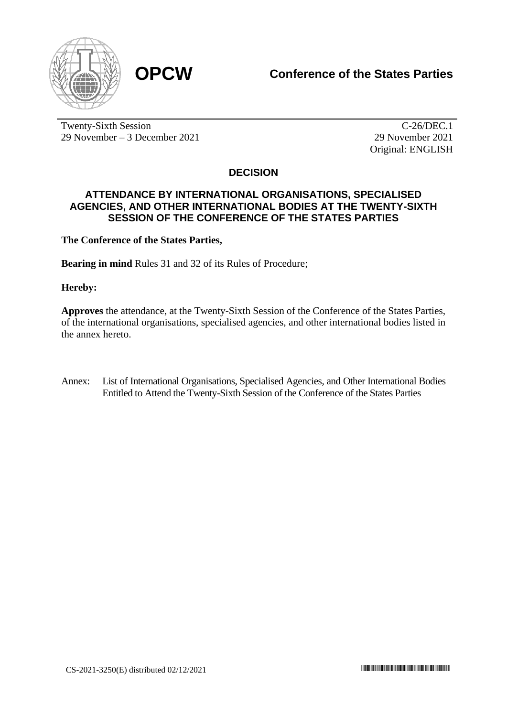

Twenty-Sixth Session 29 November – 3 December 2021

C-26/DEC.1 29 November 2021 Original: ENGLISH

## **DECISION**

## **ATTENDANCE BY INTERNATIONAL ORGANISATIONS, SPECIALISED AGENCIES, AND OTHER INTERNATIONAL BODIES AT THE TWENTY-SIXTH SESSION OF THE CONFERENCE OF THE STATES PARTIES**

**The Conference of the States Parties,**

**Bearing in mind** Rules 31 and 32 of its Rules of Procedure;

**Hereby:**

**Approves** the attendance, at the Twenty-Sixth Session of the Conference of the States Parties, of the international organisations, specialised agencies, and other international bodies listed in the annex hereto.

Annex: List of International Organisations, Specialised Agencies, and Other International Bodies Entitled to Attend the Twenty-Sixth Session of the Conference of the States Parties